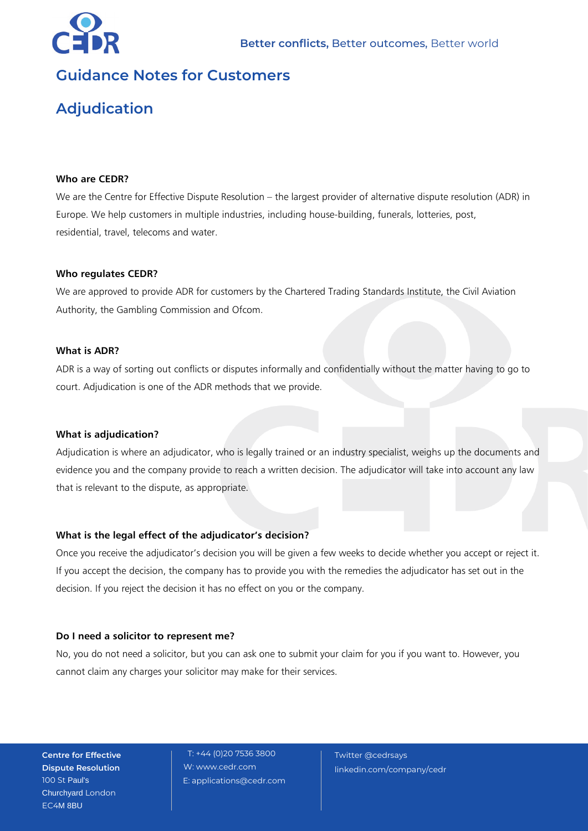

# **Guidance Notes for Customers**

# **Adjudication**

## **Who are CEDR?**

We are the Centre for Effective Dispute Resolution – the largest provider of alternative dispute resolution (ADR) in Europe. We help customers in multiple industries, including house-building, funerals, lotteries, post, residential, travel, telecoms and water.

#### **Who regulates CEDR?**

We are approved to provide ADR for customers by the Chartered Trading Standards Institute, the Civil Aviation Authority, the Gambling Commission and Ofcom.

#### **What is ADR?**

ADR is a way of sorting out conflicts or disputes informally and confidentially without the matter having to go to court. Adjudication is one of the ADR methods that we provide.

#### **What is adjudication?**

Adjudication is where an adjudicator, who is legally trained or an industry specialist, weighs up the documents and evidence you and the company provide to reach a written decision. The adjudicator will take into account any law that is relevant to the dispute, as appropriate.

# **What is the legal effect of the adjudicator's decision?**

Once you receive the adjudicator's decision you will be given a few weeks to decide whether you accept or reject it. If you accept the decision, the company has to provide you with the remedies the adjudicator has set out in the decision. If you reject the decision it has no effect on you or the company.

#### **Do I need a solicitor to represent me?**

No, you do not need a solicitor, but you can ask one to submit your claim for you if you want to. However, you cannot claim any charges your solicitor may make for their services.

**Centre for Effective Dispute Resolution** 100 St Paul's Churchyard London EC4M 8BU

T: +44 (0)20 7536 3800 W: www.cedr.com E: applications@cedr.com

Twitter @cedrsays linkedin.com/company/cedr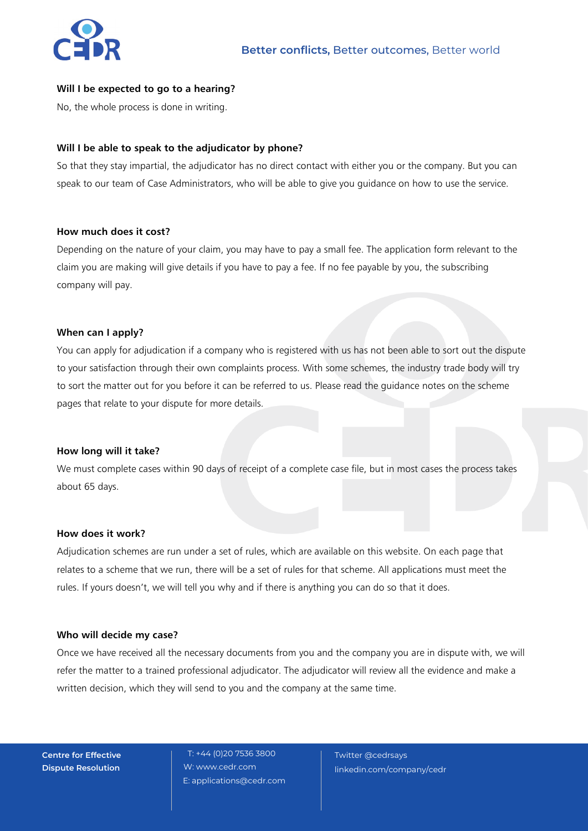

# **Will I be expected to go to a hearing?**

No, the whole process is done in writing.

## **Will I be able to speak to the adjudicator by phone?**

So that they stay impartial, the adjudicator has no direct contact with either you or the company. But you can speak to our team of Case Administrators, who will be able to give you guidance on how to use the service.

#### **How much does it cost?**

Depending on the nature of your claim, you may have to pay a small fee. The application form relevant to the claim you are making will give details if you have to pay a fee. If no fee payable by you, the subscribing company will pay.

## **When can I apply?**

You can apply for adjudication if a company who is registered with us has not been able to sort out the dispute to your satisfaction through their own complaints process. With some schemes, the industry trade body will try to sort the matter out for you before it can be referred to us. Please read the guidance notes on the scheme pages that relate to your dispute for more details.

#### **How long will it take?**

We must complete cases within 90 days of receipt of a complete case file, but in most cases the process takes about 65 days.

## **How does it work?**

Adjudication schemes are run under a set of rules, which are available on this website. On each page that relates to a scheme that we run, there will be a set of rules for that scheme. All applications must meet the rules. If yours doesn't, we will tell you why and if there is anything you can do so that it does.

#### **Who will decide my case?**

Once we have received all the necessary documents from you and the company you are in dispute with, we will refer the matter to a trained professional adjudicator. The adjudicator will review all the evidence and make a written decision, which they will send to you and the company at the same time.

**Centre for Effective Dispute Resolution**

T: +44 (0)20 7536 3800 W: www.cedr.com E: applications@cedr.com

Twitter @cedrsays linkedin.com/company/cedr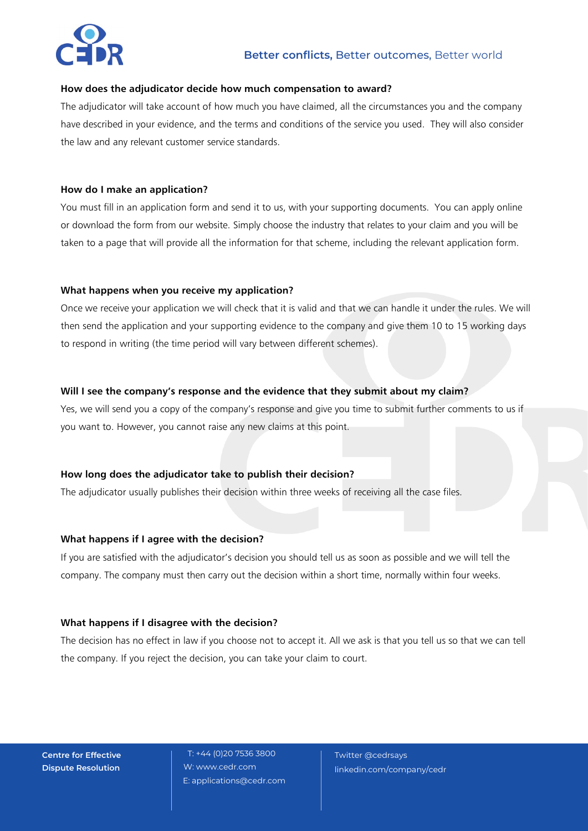

#### **How does the adjudicator decide how much compensation to award?**

The adjudicator will take account of how much you have claimed, all the circumstances you and the company have described in your evidence, and the terms and conditions of the service you used. They will also consider the law and any relevant customer service standards.

# **How do I make an application?**

You must fill in an application form and send it to us, with your supporting documents. You can apply online or download the form from our website. Simply choose the industry that relates to your claim and you will be taken to a page that will provide all the information for that scheme, including the relevant application form.

# **What happens when you receive my application?**

Once we receive your application we will check that it is valid and that we can handle it under the rules. We will then send the application and your supporting evidence to the company and give them 10 to 15 working days to respond in writing (the time period will vary between different schemes).

# **Will I see the company's response and the evidence that they submit about my claim?**

Yes, we will send you a copy of the company's response and give you time to submit further comments to us if you want to. However, you cannot raise any new claims at this point.

# **How long does the adjudicator take to publish their decision?**

The adjudicator usually publishes their decision within three weeks of receiving all the case files.

# **What happens if I agree with the decision?**

If you are satisfied with the adjudicator's decision you should tell us as soon as possible and we will tell the company. The company must then carry out the decision within a short time, normally within four weeks.

# **What happens if I disagree with the decision?**

The decision has no effect in law if you choose not to accept it. All we ask is that you tell us so that we can tell the company. If you reject the decision, you can take your claim to court.

**Centre for Effective Dispute Resolution**

T: +44 (0)20 7536 3800 W: www.cedr.com E: applications@cedr.com

Twitter @cedrsays linkedin.com/company/cedr